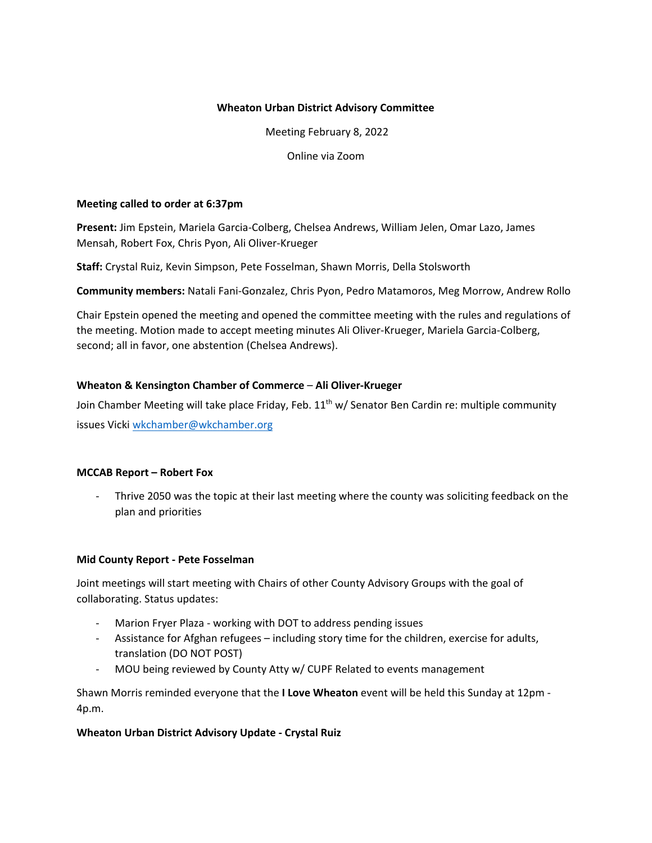### **Wheaton Urban District Advisory Committee**

Meeting February 8, 2022

Online via Zoom

#### **Meeting called to order at 6:37pm**

**Present:** Jim Epstein, Mariela Garcia-Colberg, Chelsea Andrews, William Jelen, Omar Lazo, James Mensah, Robert Fox, Chris Pyon, Ali Oliver-Krueger

**Staff:** Crystal Ruiz, Kevin Simpson, Pete Fosselman, Shawn Morris, Della Stolsworth

**Community members:** Natali Fani-Gonzalez, Chris Pyon, Pedro Matamoros, Meg Morrow, Andrew Rollo

Chair Epstein opened the meeting and opened the committee meeting with the rules and regulations of the meeting. Motion made to accept meeting minutes Ali Oliver-Krueger, Mariela Garcia-Colberg, second; all in favor, one abstention (Chelsea Andrews).

#### **Wheaton & Kensington Chamber of Commerce** – **Ali Oliver-Krueger**

Join Chamber Meeting will take place Friday, Feb. 11<sup>th</sup> w/ Senator Ben Cardin re: multiple community issues [Vicki wkchamber@wkchambe](mailto:wkchamber@wkchamber.org)r.org

## **MCCAB Report – Robert Fox**

- Thrive 2050 was the topic at their last meeting where the county was soliciting feedback on the plan and priorities

#### **Mid County Report - Pete Fosselman**

Joint meetings will start meeting with Chairs of other County Advisory Groups with the goal of collaborating. Status updates:

- Marion Fryer Plaza working with DOT to address pending issues
- Assistance for Afghan refugees including story time for the children, exercise for adults, translation (DO NOT POST)
- MOU being reviewed by County Atty w/ CUPF Related to events management

Shawn Morris reminded everyone that the **I Love Wheaton** event will be held this Sunday at 12pm - 4p.m.

## **Wheaton Urban District Advisory Update - Crystal Ruiz**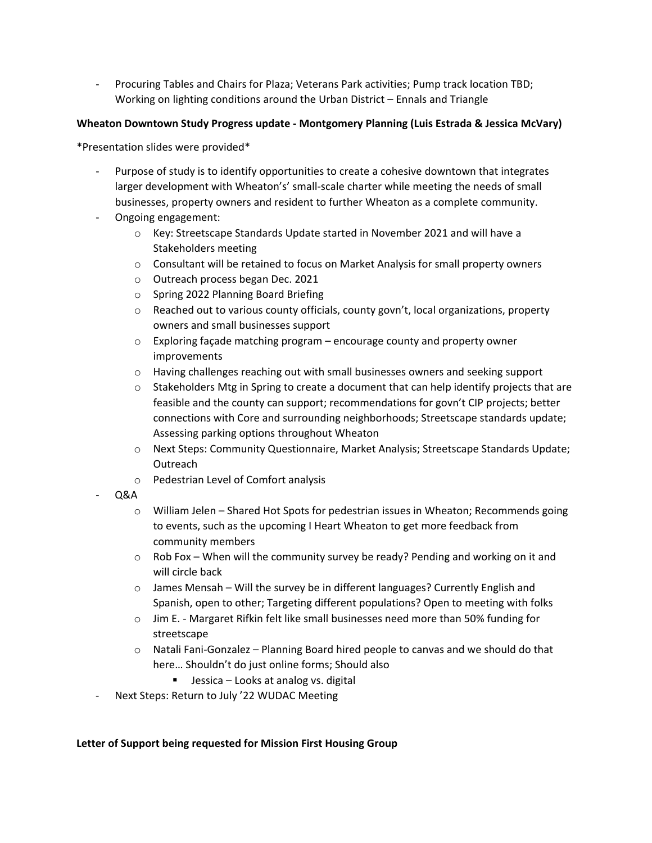- Procuring Tables and Chairs for Plaza; Veterans Park activities; Pump track location TBD; Working on lighting conditions around the Urban District – Ennals and Triangle

## **Wheaton Downtown Study Progress update - Montgomery Planning (Luis Estrada & Jessica McVary)**

\*Presentation slides were provided\*

- Purpose of study is to identify opportunities to create a cohesive downtown that integrates larger development with Wheaton's' small-scale charter while meeting the needs of small businesses, property owners and resident to further Wheaton as a complete community.
- Ongoing engagement:
	- o Key: Streetscape Standards Update started in November 2021 and will have a Stakeholders meeting
	- o Consultant will be retained to focus on Market Analysis for small property owners
	- o Outreach process began Dec. 2021
	- o Spring 2022 Planning Board Briefing
	- o Reached out to various county officials, county govn't, local organizations, property owners and small businesses support
	- $\circ$  Exploring façade matching program encourage county and property owner improvements
	- o Having challenges reaching out with small businesses owners and seeking support
	- $\circ$  Stakeholders Mtg in Spring to create a document that can help identify projects that are feasible and the county can support; recommendations for govn't CIP projects; better connections with Core and surrounding neighborhoods; Streetscape standards update; Assessing parking options throughout Wheaton
	- o Next Steps: Community Questionnaire, Market Analysis; Streetscape Standards Update; Outreach
	- o Pedestrian Level of Comfort analysis
- Q&A
	- $\circ$  William Jelen Shared Hot Spots for pedestrian issues in Wheaton; Recommends going to events, such as the upcoming I Heart Wheaton to get more feedback from community members
	- $\circ$  Rob Fox When will the community survey be ready? Pending and working on it and will circle back
	- $\circ$  James Mensah Will the survey be in different languages? Currently English and Spanish, open to other; Targeting different populations? Open to meeting with folks
	- $\circ$  Jim E. Margaret Rifkin felt like small businesses need more than 50% funding for streetscape
	- $\circ$  Natali Fani-Gonzalez Planning Board hired people to canvas and we should do that here… Shouldn't do just online forms; Should also
		- Jessica Looks at analog vs. digital
- Next Steps: Return to July '22 WUDAC Meeting

## **Letter of Support being requested for Mission First Housing Group**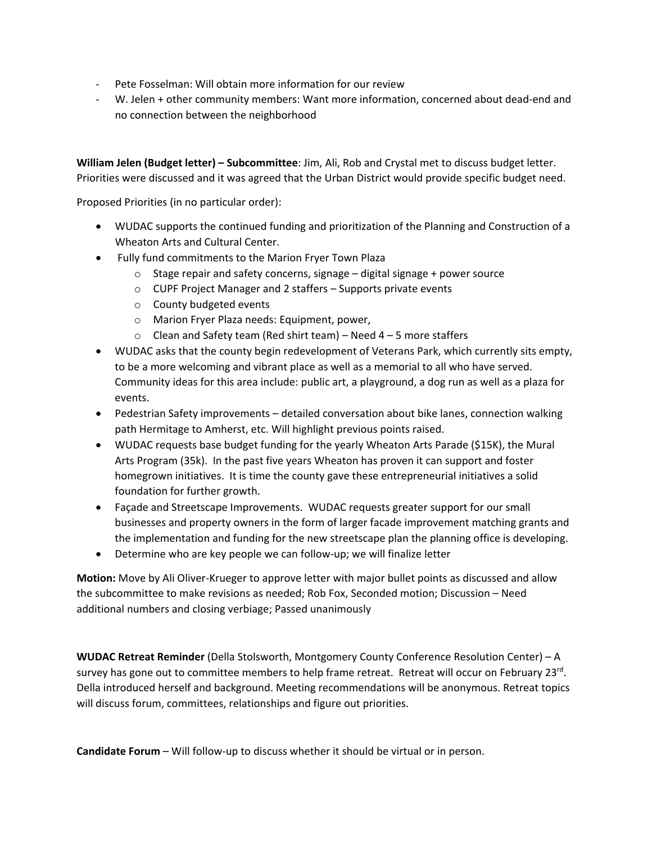- Pete Fosselman: Will obtain more information for our review
- W. Jelen + other community members: Want more information, concerned about dead-end and no connection between the neighborhood

**William Jelen (Budget letter) – Subcommittee**: Jim, Ali, Rob and Crystal met to discuss budget letter. Priorities were discussed and it was agreed that the Urban District would provide specific budget need.

Proposed Priorities (in no particular order):

- WUDAC supports the continued funding and prioritization of the Planning and Construction of a Wheaton Arts and Cultural Center.
- Fully fund commitments to the Marion Fryer Town Plaza
	- $\circ$  Stage repair and safety concerns, signage digital signage + power source
	- o CUPF Project Manager and 2 staffers Supports private events
	- o County budgeted events
	- o Marion Fryer Plaza needs: Equipment, power,
	- $\circ$  Clean and Safety team (Red shirt team) Need 4 5 more staffers
- WUDAC asks that the county begin redevelopment of Veterans Park, which currently sits empty, to be a more welcoming and vibrant place as well as a memorial to all who have served. Community ideas for this area include: public art, a playground, a dog run as well as a plaza for events.
- Pedestrian Safety improvements detailed conversation about bike lanes, connection walking path Hermitage to Amherst, etc. Will highlight previous points raised.
- WUDAC requests base budget funding for the yearly Wheaton Arts Parade (\$15K), the Mural Arts Program (35k). In the past five years Wheaton has proven it can support and foster homegrown initiatives. It is time the county gave these entrepreneurial initiatives a solid foundation for further growth.
- Façade and Streetscape Improvements. WUDAC requests greater support for our small businesses and property owners in the form of larger facade improvement matching grants and the implementation and funding for the new streetscape plan the planning office is developing.
- Determine who are key people we can follow-up; we will finalize letter

**Motion:** Move by Ali Oliver-Krueger to approve letter with major bullet points as discussed and allow the subcommittee to make revisions as needed; Rob Fox, Seconded motion; Discussion – Need additional numbers and closing verbiage; Passed unanimously

**WUDAC Retreat Reminder** (Della Stolsworth, Montgomery County Conference Resolution Center) – A survey has gone out to committee members to help frame retreat. Retreat will occur on February 23<sup>rd</sup>. Della introduced herself and background. Meeting recommendations will be anonymous. Retreat topics will discuss forum, committees, relationships and figure out priorities.

**Candidate Forum** – Will follow-up to discuss whether it should be virtual or in person.